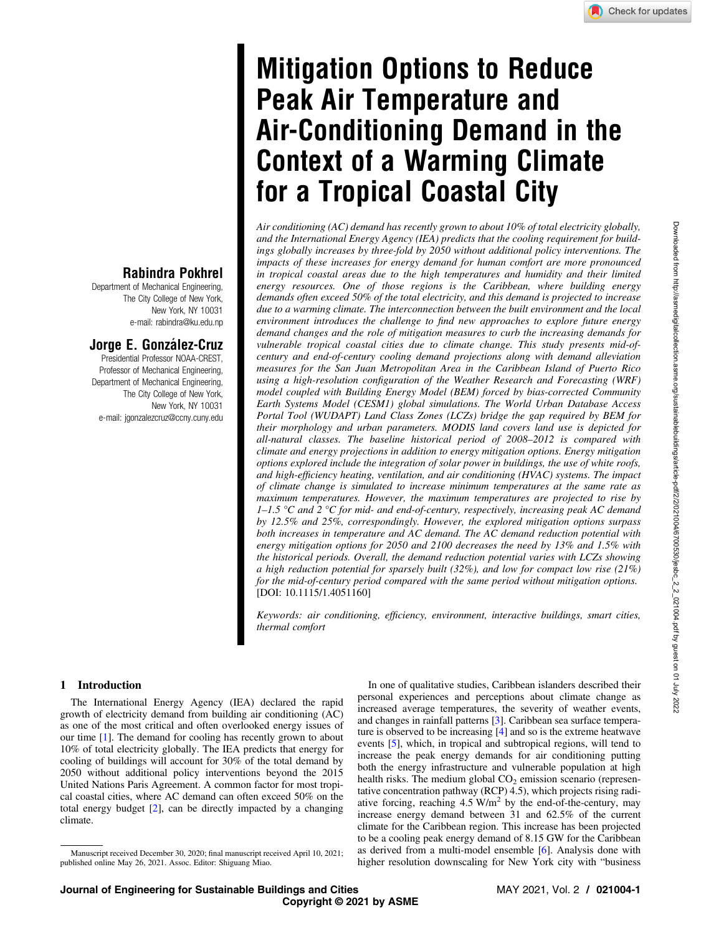# Mitigation Options to Reduce Peak Air Temperature and Air-Conditioning Demand in the Context of a Warming Climate for a Tropical Coastal City

Air conditioning (AC) demand has recently grown to about 10% of total electricity globally, and the International Energy Agency (IEA) predicts that the cooling requirement for buildings globally increases by three-fold by 2050 without additional policy interventions. The impacts of these increases for energy demand for human comfort are more pronounced in tropical coastal areas due to the high temperatures and humidity and their limited energy resources. One of those regions is the Caribbean, where building energy demands often exceed 50% of the total electricity, and this demand is projected to increase due to a warming climate. The interconnection between the built environment and the local environment introduces the challenge to find new approaches to explore future energy demand changes and the role of mitigation measures to curb the increasing demands for vulnerable tropical coastal cities due to climate change. This study presents mid-ofcentury and end-of-century cooling demand projections along with demand alleviation measures for the San Juan Metropolitan Area in the Caribbean Island of Puerto Rico using a high-resolution configuration of the Weather Research and Forecasting (WRF) model coupled with Building Energy Model (BEM) forced by bias-corrected Community Earth Systems Model (CESM1) global simulations. The World Urban Database Access Portal Tool (WUDAPT) Land Class Zones (LCZs) bridge the gap required by BEM for their morphology and urban parameters. MODIS land covers land use is depicted for all-natural classes. The baseline historical period of 2008–2012 is compared with climate and energy projections in addition to energy mitigation options. Energy mitigation options explored include the integration of solar power in buildings, the use of white roofs, and high-efficiency heating, ventilation, and air conditioning (HVAC) systems. The impact of climate change is simulated to increase minimum temperatures at the same rate as maximum temperatures. However, the maximum temperatures are projected to rise by  $1-1.5$  °C and 2 °C for mid- and end-of-century, respectively, increasing peak AC demand by 12.5% and 25%, correspondingly. However, the explored mitigation options surpass both increases in temperature and AC demand. The AC demand reduction potential with energy mitigation options for 2050 and 2100 decreases the need by 13% and 1.5% with the historical periods. Overall, the demand reduction potential varies with LCZs showing a high reduction potential for sparsely built (32%), and low for compact low rise (21%) for the mid-of-century period compared with the same period without mitigation options. [DOI: 10.1115/1.4051160]

Keywords: air conditioning, efficiency, environment, interactive buildings, smart cities, thermal comfort

# 1 Introduction

The International Energy Agency (IEA) declared the rapid growth of electricity demand from building air conditioning (AC) as one of the most critical and often overlooked energy issues of our time [\[1\]](#page-8-0). The demand for cooling has recently grown to about 10% of total electricity globally. The IEA predicts that energy for cooling of buildings will account for 30% of the total demand by 2050 without additional policy interventions beyond the 2015 United Nations Paris Agreement. A common factor for most tropical coastal cities, where AC demand can often exceed 50% on the total energy budget [\[2\]](#page-8-0), can be directly impacted by a changing climate.

Rabindra Pokhrel Department of Mechanical Engineering, The City College of New York, New York, NY 10031 e-mail: [rabindra@ku.edu.np](mailto:rabindra@ku.edu.np)

Jorge E. González-Cruz Presidential Professor NOAA-CREST, Professor of Mechanical Engineering, Department of Mechanical Engineering, The City College of New York, New York, NY 10031

e-mail: [jgonzalezcruz@ccny.cuny.edu](mailto:jgonzalezcruz@ccny.cuny.edu)

In one of qualitative studies, Caribbean islanders described their personal experiences and perceptions about climate change as increased average temperatures, the severity of weather events, and changes in rainfall patterns [\[3\]](#page-8-0). Caribbean sea surface temperature is observed to be increasing [[4](#page-8-0)] and so is the extreme heatwave events [[5](#page-8-0)], which, in tropical and subtropical regions, will tend to increase the peak energy demands for air conditioning putting both the energy infrastructure and vulnerable population at high health risks. The medium global  $CO<sub>2</sub>$  emission scenario (representative concentration pathway (RCP) 4.5), which projects rising radiative forcing, reaching  $4.5 \text{ W/m}^2$  by the end-of-the-century, may increase energy demand between 31 and 62.5% of the current climate for the Caribbean region. This increase has been projected to be a cooling peak energy demand of 8.15 GW for the Caribbean as derived from a multi-model ensemble [[6](#page-8-0)]. Analysis done with higher resolution downscaling for New York city with "business

Manuscript received December 30, 2020; final manuscript received April 10, 2021; published online May 26, 2021. Assoc. Editor: Shiguang Miao.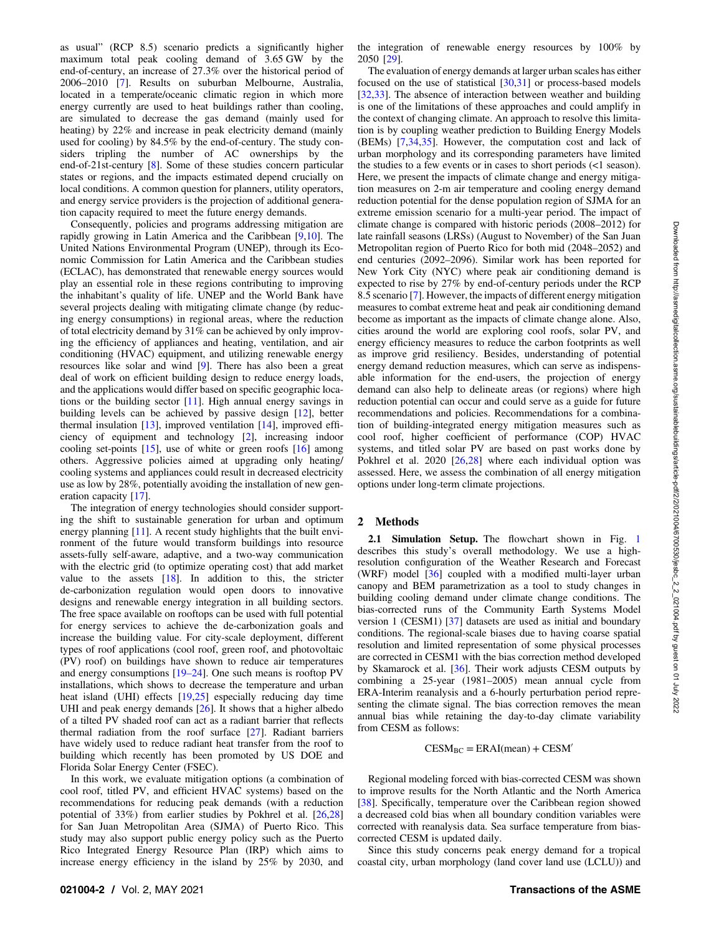as usual" (RCP 8.5) scenario predicts a significantly higher maximum total peak cooling demand of 3.65 GW by the end-of-century, an increase of 27.3% over the historical period of 2006–2010 [\[7](#page-8-0)]. Results on suburban Melbourne, Australia, located in a temperate/oceanic climatic region in which more energy currently are used to heat buildings rather than cooling, are simulated to decrease the gas demand (mainly used for heating) by 22% and increase in peak electricity demand (mainly used for cooling) by 84.5% by the end-of-century. The study considers tripling the number of AC ownerships by the end-of-21st-century [[8](#page-8-0)]. Some of these studies concern particular states or regions, and the impacts estimated depend crucially on local conditions. A common question for planners, utility operators, and energy service providers is the projection of additional generation capacity required to meet the future energy demands.

Consequently, policies and programs addressing mitigation are rapidly growing in Latin America and the Caribbean [[9](#page-8-0),[10\]](#page-8-0). The United Nations Environmental Program (UNEP), through its Economic Commission for Latin America and the Caribbean studies (ECLAC), has demonstrated that renewable energy sources would play an essential role in these regions contributing to improving the inhabitant's quality of life. UNEP and the World Bank have several projects dealing with mitigating climate change (by reducing energy consumptions) in regional areas, where the reduction of total electricity demand by 31% can be achieved by only improving the efficiency of appliances and heating, ventilation, and air conditioning (HVAC) equipment, and utilizing renewable energy resources like solar and wind [\[9\]](#page-8-0). There has also been a great deal of work on efficient building design to reduce energy loads, and the applications would differ based on specific geographic locations or the building sector [[11\]](#page-8-0). High annual energy savings in building levels can be achieved by passive design [\[12](#page-8-0)], better thermal insulation [[13\]](#page-8-0), improved ventilation [\[14\]](#page-8-0), improved efficiency of equipment and technology [\[2\]](#page-8-0), increasing indoor cooling set-points [[15\]](#page-8-0), use of white or green roofs [[16\]](#page-8-0) among others. Aggressive policies aimed at upgrading only heating/ cooling systems and appliances could result in decreased electricity use as low by 28%, potentially avoiding the installation of new generation capacity [[17\]](#page-8-0).

The integration of energy technologies should consider supporting the shift to sustainable generation for urban and optimum energy planning [[11\]](#page-8-0). A recent study highlights that the built environment of the future would transform buildings into resource assets-fully self-aware, adaptive, and a two-way communication with the electric grid (to optimize operating cost) that add market value to the assets  $[18]$  $[18]$ . In addition to this, the stricter de-carbonization regulation would open doors to innovative designs and renewable energy integration in all building sectors. The free space available on rooftops can be used with full potential for energy services to achieve the de-carbonization goals and increase the building value. For city-scale deployment, different types of roof applications (cool roof, green roof, and photovoltaic (PV) roof) on buildings have shown to reduce air temperatures and energy consumptions [19–24]. One such means is rooftop PV installations, which shows to decrease the temperature and urban heat island (UHI) effects [[19,25](#page-8-0)] especially reducing day time UHI and peak energy demands [\[26](#page-8-0)]. It shows that a higher albedo of a tilted PV shaded roof can act as a radiant barrier that reflects thermal radiation from the roof surface [[27\]](#page-8-0). Radiant barriers have widely used to reduce radiant heat transfer from the roof to building which recently has been promoted by US DOE and Florida Solar Energy Center (FSEC).

In this work, we evaluate mitigation options (a combination of cool roof, titled PV, and efficient HVAC systems) based on the recommendations for reducing peak demands (with a reduction potential of 33%) from earlier studies by Pokhrel et al. [[26,28](#page-8-0)] for San Juan Metropolitan Area (SJMA) of Puerto Rico. This study may also support public energy policy such as the Puerto Rico Integrated Energy Resource Plan (IRP) which aims to increase energy efficiency in the island by 25% by 2030, and

the integration of renewable energy resources by 100% by 2050 [[29](#page-8-0)].

The evaluation of energy demands at larger urban scales has either focused on the use of statistical [[30,31\]](#page-8-0) or process-based models [[32,33](#page-8-0)]. The absence of interaction between weather and building is one of the limitations of these approaches and could amplify in the context of changing climate. An approach to resolve this limitation is by coupling weather prediction to Building Energy Models (BEMs) [\[7,34,35](#page-8-0)]. However, the computation cost and lack of urban morphology and its corresponding parameters have limited the studies to a few events or in cases to short periods (<1 season). Here, we present the impacts of climate change and energy mitigation measures on 2-m air temperature and cooling energy demand reduction potential for the dense population region of SJMA for an extreme emission scenario for a multi-year period. The impact of climate change is compared with historic periods (2008–2012) for late rainfall seasons (LRSs) (August to November) of the San Juan Metropolitan region of Puerto Rico for both mid (2048–2052) and end centuries (2092–2096). Similar work has been reported for New York City (NYC) where peak air conditioning demand is expected to rise by 27% by end-of-century periods under the RCP 8.5 scenario [[7](#page-8-0)]. However, the impacts of different energy mitigation measures to combat extreme heat and peak air conditioning demand become as important as the impacts of climate change alone. Also, cities around the world are exploring cool roofs, solar PV, and energy efficiency measures to reduce the carbon footprints as well as improve grid resiliency. Besides, understanding of potential energy demand reduction measures, which can serve as indispensable information for the end-users, the projection of energy demand can also help to delineate areas (or regions) where high reduction potential can occur and could serve as a guide for future recommendations and policies. Recommendations for a combination of building-integrated energy mitigation measures such as cool roof, higher coefficient of performance (COP) HVAC systems, and titled solar PV are based on past works done by Pokhrel et al.  $2020$   $[26,28]$  $[26,28]$  $[26,28]$  where each individual option was assessed. Here, we assess the combination of all energy mitigation options under long-term climate projections.

# 2 Methods

2.[1](#page-2-0) Simulation Setup. The flowchart shown in Fig. 1 describes this study's overall methodology. We use a highresolution configuration of the Weather Research and Forecast (WRF) model  $[36]$  $[36]$  coupled with a modified multi-layer urban canopy and BEM parametrization as a tool to study changes in building cooling demand under climate change conditions. The bias-corrected runs of the Community Earth Systems Model version 1 (CESM1) [\[37](#page-8-0)] datasets are used as initial and boundary conditions. The regional-scale biases due to having coarse spatial resolution and limited representation of some physical processes are corrected in CESM1 with the bias correction method developed by Skamarock et al. [[36\]](#page-8-0). Their work adjusts CESM outputs by combining a 25-year (1981–2005) mean annual cycle from ERA-Interim reanalysis and a 6-hourly perturbation period representing the climate signal. The bias correction removes the mean annual bias while retaining the day-to-day climate variability from CESM as follows:

 $CESM_{BC} = ERAI(mean) + CESM'$ 

Regional modeling forced with bias-corrected CESM was shown to improve results for the North Atlantic and the North America [[38\]](#page-8-0). Specifically, temperature over the Caribbean region showed a decreased cold bias when all boundary condition variables were corrected with reanalysis data. Sea surface temperature from biascorrected CESM is updated daily.

Since this study concerns peak energy demand for a tropical coastal city, urban morphology (land cover land use (LCLU)) and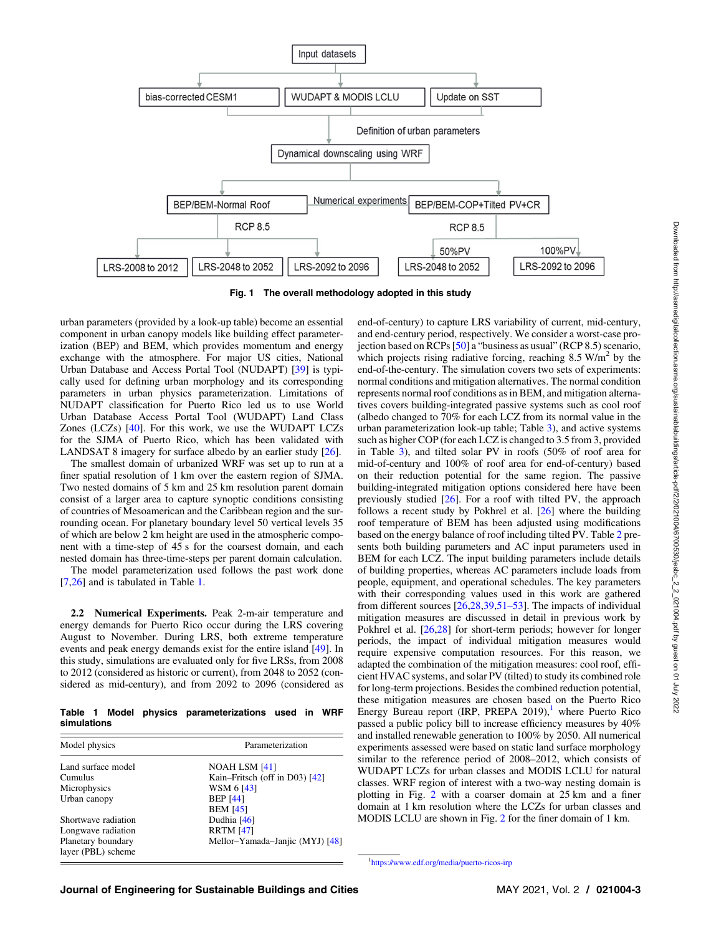<span id="page-2-0"></span>

Fig. 1 The overall methodology adopted in this study

urban parameters (provided by a look-up table) become an essential component in urban canopy models like building effect parameterization (BEP) and BEM, which provides momentum and energy exchange with the atmosphere. For major US cities, National Urban Database and Access Portal Tool (NUDAPT) [[39\]](#page-8-0) is typically used for defining urban morphology and its corresponding parameters in urban physics parameterization. Limitations of NUDAPT classification for Puerto Rico led us to use World Urban Database Access Portal Tool (WUDAPT) Land Class Zones (LCZs) [\[40](#page-8-0)]. For this work, we use the WUDAPT LCZs for the SJMA of Puerto Rico, which has been validated with LANDSAT 8 imagery for surface albedo by an earlier study [\[26](#page-8-0)].

The smallest domain of urbanized WRF was set up to run at a finer spatial resolution of 1 km over the eastern region of SJMA. Two nested domains of 5 km and 25 km resolution parent domain consist of a larger area to capture synoptic conditions consisting of countries of Mesoamerican and the Caribbean region and the surrounding ocean. For planetary boundary level 50 vertical levels 35 of which are below 2 km height are used in the atmospheric component with a time-step of 45 s for the coarsest domain, and each nested domain has three-time-steps per parent domain calculation.

The model parameterization used follows the past work done [[7](#page-8-0),[26\]](#page-8-0) and is tabulated in Table 1.

2.2 Numerical Experiments. Peak 2-m-air temperature and energy demands for Puerto Rico occur during the LRS covering August to November. During LRS, both extreme temperature events and peak energy demands exist for the entire island [[49\]](#page-8-0). In this study, simulations are evaluated only for five LRSs, from 2008 to 2012 (considered as historic or current), from 2048 to 2052 (considered as mid-century), and from 2092 to 2096 (considered as

Table 1 Model physics parameterizations used in WRF simulations

| Model physics                            | Parameterization                 |  |  |  |
|------------------------------------------|----------------------------------|--|--|--|
| Land surface model                       | NOAH LSM [41]                    |  |  |  |
| Cumulus                                  | Kain–Fritsch (off in D03) $[42]$ |  |  |  |
| Microphysics                             | WSM 6 [43]                       |  |  |  |
| Urban canopy                             | <b>BEP</b> [44]                  |  |  |  |
|                                          | <b>BEM [45]</b>                  |  |  |  |
| Shortwave radiation                      | Dudhia [46]                      |  |  |  |
| Longwave radiation                       | <b>RRTM</b> [47]                 |  |  |  |
| Planetary boundary<br>layer (PBL) scheme | Mellor-Yamada-Janjic (MYJ) [48]  |  |  |  |

end-of-century) to capture LRS variability of current, mid-century, and end-century period, respectively. We consider a worst-case projection based on RCPs [\[50](#page-8-0)] a "business as usual" (RCP 8.5) scenario, which projects rising radiative forcing, reaching  $8.5 \text{ W/m}^2$  by the end-of-the-century. The simulation covers two sets of experiments: normal conditions and mitigation alternatives. The normal condition represents normal roof conditions as in BEM, and mitigation alternatives covers building-integrated passive systems such as cool roof (albedo changed to 70% for each LCZ from its normal value in the urban parameterization look-up table; Table [3\)](#page-7-0), and active systems such as higher COP (for each LCZ is changed to 3.5 from 3, provided in Table [3\)](#page-7-0), and tilted solar PV in roofs (50% of roof area for mid-of-century and 100% of roof area for end-of-century) based on their reduction potential for the same region. The passive building-integrated mitigation options considered here have been previously studied [[26\]](#page-8-0). For a roof with tilted PV, the approach follows a recent study by Pokhrel et al. [[26\]](#page-8-0) where the building roof temperature of BEM has been adjusted using modifications based on the energy balance of roof including tilted PV. Table [2](#page-3-0) presents both building parameters and AC input parameters used in BEM for each LCZ. The input building parameters include details of building properties, whereas AC parameters include loads from people, equipment, and operational schedules. The key parameters with their corresponding values used in this work are gathered from different sources [\[26,28,39,](#page-8-0)51–53]. The impacts of individual mitigation measures are discussed in detail in previous work by Pokhrel et al. [\[26,28](#page-8-0)] for short-term periods; however for longer periods, the impact of individual mitigation measures would require expensive computation resources. For this reason, we adapted the combination of the mitigation measures: cool roof, efficient HVAC systems, and solar PV (tilted) to study its combined role for long-term projections. Besides the combined reduction potential, these mitigation measures are chosen based on the Puerto Rico Energy Bureau report (IRP, PREPA  $2019$ ), where Puerto Rico passed a public policy bill to increase efficiency measures by 40% and installed renewable generation to 100% by 2050. All numerical experiments assessed were based on static land surface morphology similar to the reference period of 2008–2012, which consists of WUDAPT LCZs for urban classes and MODIS LCLU for natural classes. WRF region of interest with a two-way nesting domain is plotting in Fig. [2](#page-3-0) with a coarser domain at 25 km and a finer domain at 1 km resolution where the LCZs for urban classes and MODIS LCLU are shown in Fig. [2](#page-3-0) for the finer domain of 1 km.

1 <https://www.edf.org/media/puerto-ricos-irp>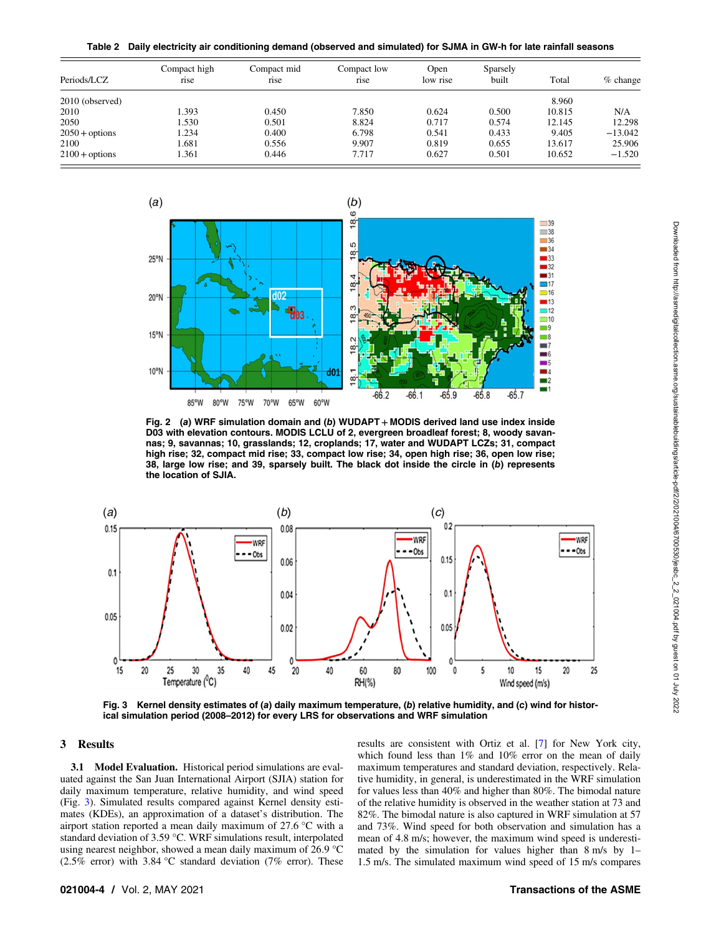Table 2 Daily electricity air conditioning demand (observed and simulated) for SJMA in GW-h for late rainfall seasons

<span id="page-3-0"></span>

| Periods/LCZ      | Compact high<br>rise | Compact mid<br>rise | Compact low<br>rise | Open<br>low rise | Sparsely<br>built | Total  | $%$ change |
|------------------|----------------------|---------------------|---------------------|------------------|-------------------|--------|------------|
| 2010 (observed)  |                      |                     |                     |                  |                   | 8.960  |            |
| 2010             | 1.393                | 0.450               | 7.850               | 0.624            | 0.500             | 10.815 | N/A        |
| 2050             | 1.530                | 0.501               | 8.824               | 0.717            | 0.574             | 12.145 | 12.298     |
| $2050 +$ options | 1.234                | 0.400               | 6.798               | 0.541            | 0.433             | 9.405  | $-13.042$  |
| 2100             | 1.681                | 0.556               | 9.907               | 0.819            | 0.655             | 13.617 | 25.906     |
| $2100 +$ options | 1.361                | 0.446               | 7.717               | 0.627            | 0.501             | 10.652 | $-1.520$   |



Fig. 2 (a) WRF simulation domain and (b) WUDAPT + MODIS derived land use index inside D03 with elevation contours. MODIS LCLU of 2, evergreen broadleaf forest; 8, woody savannas; 9, savannas; 10, grasslands; 12, croplands; 17, water and WUDAPT LCZs; 31, compact high rise; 32, compact mid rise; 33, compact low rise; 34, open high rise; 36, open low rise; 38, large low rise; and 39, sparsely built. The black dot inside the circle in (b) represents the location of SJIA.



Fig. 3 Kernel density estimates of (a) daily maximum temperature, (b) relative humidity, and (c) wind for historical simulation period (2008–2012) for every LRS for observations and WRF simulation

### 3 Results

3.1 Model Evaluation. Historical period simulations are evaluated against the San Juan International Airport (SJIA) station for daily maximum temperature, relative humidity, and wind speed (Fig. 3). Simulated results compared against Kernel density estimates (KDEs), an approximation of a dataset's distribution. The airport station reported a mean daily maximum of 27.6 °C with a standard deviation of 3.59 °C. WRF simulations result, interpolated using nearest neighbor, showed a mean daily maximum of 26.9 °C (2.5% error) with 3.84 °C standard deviation (7% error). These results are consistent with Ortiz et al. [\[7\]](#page-8-0) for New York city, which found less than 1% and 10% error on the mean of daily maximum temperatures and standard deviation, respectively. Relative humidity, in general, is underestimated in the WRF simulation for values less than 40% and higher than 80%. The bimodal nature of the relative humidity is observed in the weather station at 73 and 82%. The bimodal nature is also captured in WRF simulation at 57 and 73%. Wind speed for both observation and simulation has a mean of 4.8 m/s; however, the maximum wind speed is underestimated by the simulation for values higher than 8 m/s by 1– 1.5 m/s. The simulated maximum wind speed of 15 m/s compares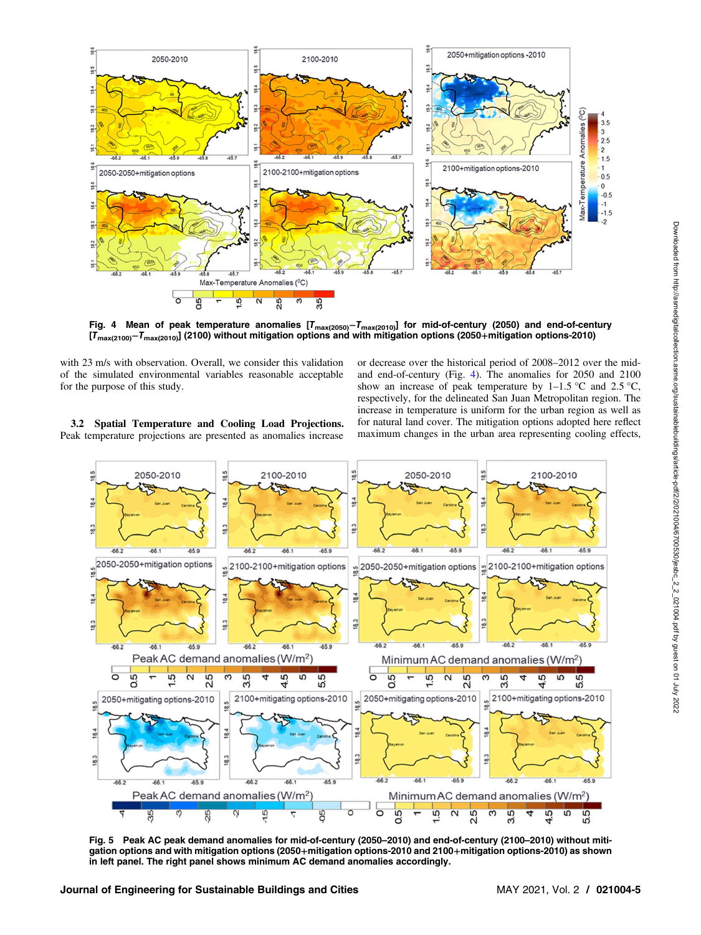

<span id="page-4-0"></span>

Fig. 4 Mean of peak temperature anomalies [T<sub>max(2050)</sub>–T<sub>max(2010)</sub>] for mid-of-century (2050) and end-of-century [T<sub>max(2100)</sub>−T<sub>max(2010</sub>)] (2100) without mitigation options and with mitigation options (2050+mitigation options-2010)

with 23 m/s with observation. Overall, we consider this validation of the simulated environmental variables reasonable acceptable for the purpose of this study.

or decrease over the historical period of 2008–2012 over the midand end-of-century (Fig. 4). The anomalies for 2050 and 2100 show an increase of peak temperature by  $1-1.5$  °C and  $2.5$  °C, respectively, for the delineated San Juan Metropolitan region. The increase in temperature is uniform for the urban region as well as for natural land cover. The mitigation options adopted here reflect maximum changes in the urban area representing cooling effects,

3.2 Spatial Temperature and Cooling Load Projections. Peak temperature projections are presented as anomalies increase



Fig. 5 Peak AC peak demand anomalies for mid-of-century (2050–2010) and end-of-century (2100–2010) without mitigation options and with mitigation options (2050+mitigation options-2010 and 2100+mitigation options-2010) as shown in left panel. The right panel shows minimum AC demand anomalies accordingly.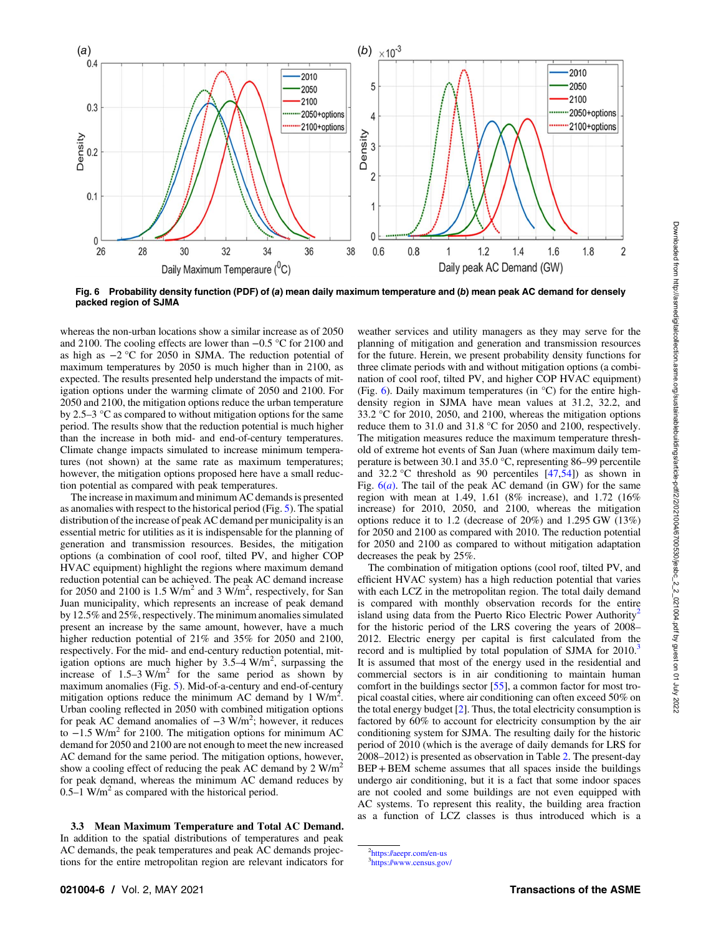

Fig. 6 Probability density function (PDF) of (a) mean daily maximum temperature and (b) mean peak AC demand for densely packed region of SJMA

whereas the non-urban locations show a similar increase as of 2050 and 2100. The cooling effects are lower than −0.5 °C for 2100 and as high as −2 °C for 2050 in SJMA. The reduction potential of maximum temperatures by 2050 is much higher than in 2100, as expected. The results presented help understand the impacts of mitigation options under the warming climate of 2050 and 2100. For 2050 and 2100, the mitigation options reduce the urban temperature by 2.5–3 °C as compared to without mitigation options for the same period. The results show that the reduction potential is much higher than the increase in both mid- and end-of-century temperatures. Climate change impacts simulated to increase minimum temperatures (not shown) at the same rate as maximum temperatures; however, the mitigation options proposed here have a small reduction potential as compared with peak temperatures.

The increase in maximum and minimum AC demands is presented as anomalies with respect to the historical period (Fig. [5\)](#page-4-0). The spatial distribution of the increase of peak AC demand per municipality is an essential metric for utilities as it is indispensable for the planning of generation and transmission resources. Besides, the mitigation options (a combination of cool roof, tilted PV, and higher COP HVAC equipment) highlight the regions where maximum demand reduction potential can be achieved. The peak AC demand increase for 2050 and 2100 is 1.5 W/m<sup>2</sup> and 3 W/m<sup>2</sup>, respectively, for San Juan municipality, which represents an increase of peak demand by 12.5% and 25%, respectively. The minimum anomalies simulated present an increase by the same amount, however, have a much higher reduction potential of 21% and 35% for 2050 and 2100, respectively. For the mid- and end-century reduction potential, mitigation options are much higher by  $3.5-4$  W/m<sup>2</sup>, surpassing the increase of  $1.5-3$  W/m<sup>2</sup> for the same period as shown by maximum anomalies (Fig. [5\)](#page-4-0). Mid-of-a-century and end-of-century mitigation options reduce the minimum AC demand by 1 W/m<sup>2</sup>. Urban cooling reflected in 2050 with combined mitigation options for peak AC demand anomalies of -3 W/m<sup>2</sup>; however, it reduces to  $-1.5$  W/m<sup>2</sup> for 2100. The mitigation options for minimum AC demand for 2050 and 2100 are not enough to meet the new increased AC demand for the same period. The mitigation options, however, show a cooling effect of reducing the peak AC demand by  $2 W/m^2$ for peak demand, whereas the minimum AC demand reduces by  $0.5-1$  W/m<sup>2</sup> as compared with the historical period.

3.3 Mean Maximum Temperature and Total AC Demand. In addition to the spatial distributions of temperatures and peak AC demands, the peak temperatures and peak AC demands projections for the entire metropolitan region are relevant indicators for

weather services and utility managers as they may serve for the planning of mitigation and generation and transmission resources for the future. Herein, we present probability density functions for three climate periods with and without mitigation options (a combination of cool roof, tilted PV, and higher COP HVAC equipment) (Fig. 6). Daily maximum temperatures (in °C) for the entire highdensity region in SJMA have mean values at 31.2, 32.2, and 33.2 °C for 2010, 2050, and 2100, whereas the mitigation options reduce them to 31.0 and 31.8 °C for 2050 and 2100, respectively. The mitigation measures reduce the maximum temperature threshold of extreme hot events of San Juan (where maximum daily temperature is between 30.1 and 35.0 °C, representing 86–99 percentile and 32.2 °C threshold as 90 percentiles  $[47,54]$  $[47,54]$  as shown in Fig.  $6(a)$ . The tail of the peak AC demand (in GW) for the same region with mean at 1.49, 1.61 (8% increase), and 1.72 (16% increase) for 2010, 2050, and 2100, whereas the mitigation options reduce it to 1.2 (decrease of 20%) and 1.295 GW (13%) for 2050 and 2100 as compared with 2010. The reduction potential for 2050 and 2100 as compared to without mitigation adaptation decreases the peak by 25%.

The combination of mitigation options (cool roof, tilted PV, and efficient HVAC system) has a high reduction potential that varies with each LCZ in the metropolitan region. The total daily demand is compared with monthly observation records for the entire island using data from the Puerto Rico Electric Power Authority<sup>2</sup> for the historic period of the LRS covering the years of 2008– 2012. Electric energy per capital is first calculated from the record and is multiplied by total population of SJMA for 2010.<sup>3</sup> It is assumed that most of the energy used in the residential and commercial sectors is in air conditioning to maintain human comfort in the buildings sector [\[55](#page-9-0)], a common factor for most tropical coastal cities, where air conditioning can often exceed 50% on the total energy budget  $[2]$ . Thus, the total electricity consumption is factored by 60% to account for electricity consumption by the air conditioning system for SJMA. The resulting daily for the historic period of 2010 (which is the average of daily demands for LRS for 2008–2012) is presented as observation in Table [2](#page-3-0). The present-day BEP+BEM scheme assumes that all spaces inside the buildings undergo air conditioning, but it is a fact that some indoor spaces are not cooled and some buildings are not even equipped with AC systems. To represent this reality, the building area fraction as a function of LCZ classes is thus introduced which is a

<sup>&</sup>lt;sup>2</sup><https://aeepr.com/en-us> 3 <https://www.census.gov/>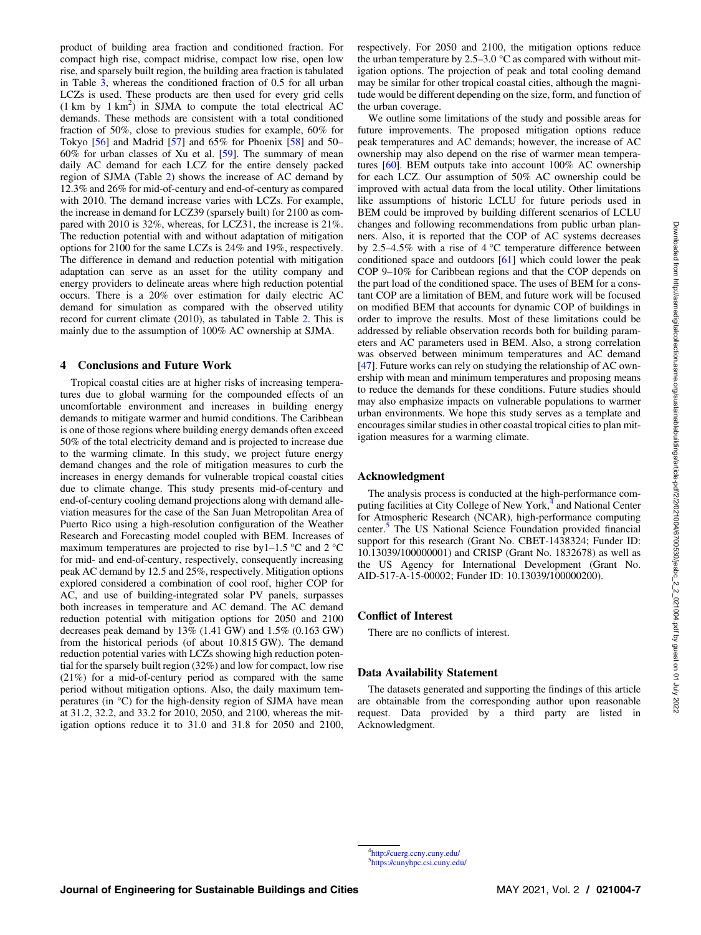product of building area fraction and conditioned fraction. For compact high rise, compact midrise, compact low rise, open low rise, and sparsely built region, the building area fraction is tabulated in Table [3,](#page-7-0) whereas the conditioned fraction of 0.5 for all urban LCZs is used. These products are then used for every grid cells  $(1 \text{ km } \text{ by } 1 \text{ km}^2)$  in SJMA to compute the total electrical AC demands. These methods are consistent with a total conditioned fraction of 50%, close to previous studies for example, 60% for Tokyo [[56\]](#page-9-0) and Madrid [[57\]](#page-9-0) and 65% for Phoenix [[58\]](#page-9-0) and 50– 60% for urban classes of Xu et al. [\[59](#page-9-0)]. The summary of mean daily AC demand for each LCZ for the entire densely packed region of SJMA (Table [2](#page-3-0)) shows the increase of AC demand by 12.3% and 26% for mid-of-century and end-of-century as compared with 2010. The demand increase varies with LCZs. For example, the increase in demand for LCZ39 (sparsely built) for 2100 as compared with 2010 is 32%, whereas, for LCZ31, the increase is 21%. The reduction potential with and without adaptation of mitigation options for 2100 for the same LCZs is 24% and 19%, respectively. The difference in demand and reduction potential with mitigation adaptation can serve as an asset for the utility company and energy providers to delineate areas where high reduction potential occurs. There is a 20% over estimation for daily electric AC demand for simulation as compared with the observed utility record for current climate (2010), as tabulated in Table [2.](#page-3-0) This is mainly due to the assumption of 100% AC ownership at SJMA.

## 4 Conclusions and Future Work

Tropical coastal cities are at higher risks of increasing temperatures due to global warming for the compounded effects of an uncomfortable environment and increases in building energy demands to mitigate warmer and humid conditions. The Caribbean is one of those regions where building energy demands often exceed 50% of the total electricity demand and is projected to increase due to the warming climate. In this study, we project future energy demand changes and the role of mitigation measures to curb the increases in energy demands for vulnerable tropical coastal cities due to climate change. This study presents mid-of-century and end-of-century cooling demand projections along with demand alleviation measures for the case of the San Juan Metropolitan Area of Puerto Rico using a high-resolution configuration of the Weather Research and Forecasting model coupled with BEM. Increases of maximum temperatures are projected to rise by  $1-1.5$  °C and  $2$  °C for mid- and end-of-century, respectively, consequently increasing peak AC demand by 12.5 and 25%, respectively. Mitigation options explored considered a combination of cool roof, higher COP for AC, and use of building-integrated solar PV panels, surpasses both increases in temperature and AC demand. The AC demand reduction potential with mitigation options for 2050 and 2100 decreases peak demand by 13% (1.41 GW) and 1.5% (0.163 GW) from the historical periods (of about 10.815 GW). The demand reduction potential varies with LCZs showing high reduction potential for the sparsely built region (32%) and low for compact, low rise (21%) for a mid-of-century period as compared with the same period without mitigation options. Also, the daily maximum temperatures (in °C) for the high-density region of SJMA have mean at 31.2, 32.2, and 33.2 for 2010, 2050, and 2100, whereas the mitigation options reduce it to 31.0 and 31.8 for 2050 and 2100,

respectively. For 2050 and 2100, the mitigation options reduce the urban temperature by  $2.5-3.0$  °C as compared with without mitigation options. The projection of peak and total cooling demand may be similar for other tropical coastal cities, although the magnitude would be different depending on the size, form, and function of the urban coverage.

We outline some limitations of the study and possible areas for future improvements. The proposed mitigation options reduce peak temperatures and AC demands; however, the increase of AC ownership may also depend on the rise of warmer mean temperatures [[60\]](#page-9-0). BEM outputs take into account 100% AC ownership for each LCZ. Our assumption of 50% AC ownership could be improved with actual data from the local utility. Other limitations like assumptions of historic LCLU for future periods used in BEM could be improved by building different scenarios of LCLU changes and following recommendations from public urban planners. Also, it is reported that the COP of AC systems decreases by 2.5–4.5% with a rise of 4 °C temperature difference between conditioned space and outdoors [\[61](#page-9-0)] which could lower the peak COP 9–10% for Caribbean regions and that the COP depends on the part load of the conditioned space. The uses of BEM for a constant COP are a limitation of BEM, and future work will be focused on modified BEM that accounts for dynamic COP of buildings in order to improve the results. Most of these limitations could be addressed by reliable observation records both for building parameters and AC parameters used in BEM. Also, a strong correlation was observed between minimum temperatures and AC demand [[47\]](#page-8-0). Future works can rely on studying the relationship of AC ownership with mean and minimum temperatures and proposing means to reduce the demands for these conditions. Future studies should may also emphasize impacts on vulnerable populations to warmer urban environments. We hope this study serves as a template and encourages similar studies in other coastal tropical cities to plan mitigation measures for a warming climate.

#### Acknowledgment

The analysis process is conducted at the high-performance computing facilities at City College of New York,<sup>4</sup> and National Center for Atmospheric Research (NCAR), high-performance computing center.<sup>5</sup> The US National Science Foundation provided financial support for this research (Grant No. CBET-1438324; Funder ID: 10.13039/100000001) and CRISP (Grant No. 1832678) as well as the US Agency for International Development (Grant No. AID-517-A-15-00002; Funder ID: 10.13039/100000200).

#### Conflict of Interest

There are no conflicts of interest.

#### Data Availability Statement

The datasets generated and supporting the findings of this article are obtainable from the corresponding author upon reasonable request. Data provided by a third party are listed in Acknowledgment.

<sup>4</sup> <http://cuerg.ccny.cuny.edu/> 5 <https://cunyhpc.csi.cuny.edu/>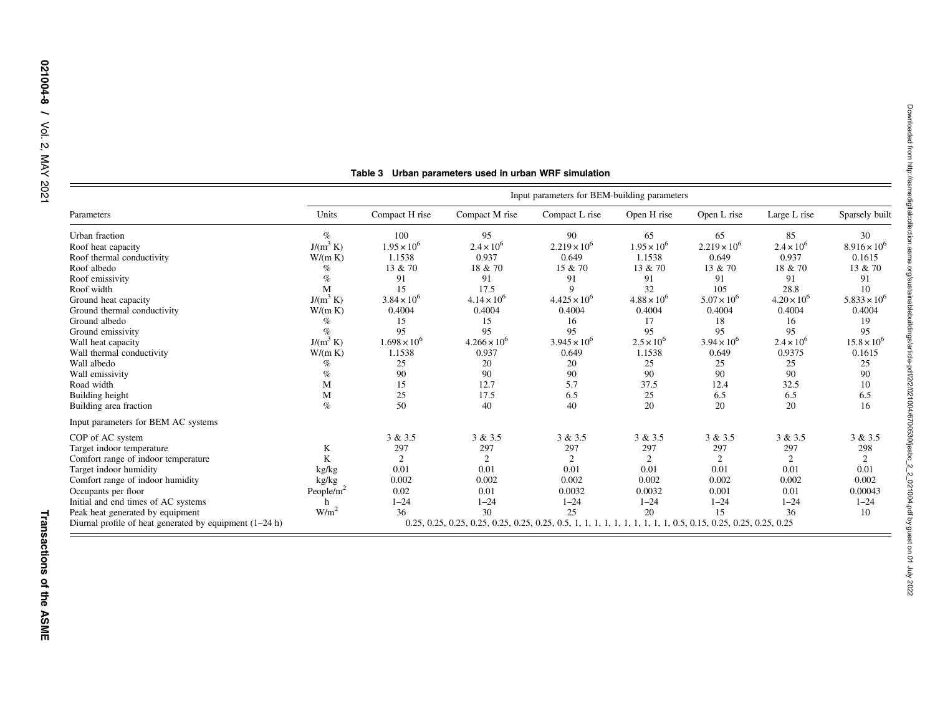<span id="page-7-0"></span>

|                                                           | Input parameters for BEM-building parameters                                                                   |                       |                       |                       |                      |                       |                      |                       |
|-----------------------------------------------------------|----------------------------------------------------------------------------------------------------------------|-----------------------|-----------------------|-----------------------|----------------------|-----------------------|----------------------|-----------------------|
| Parameters                                                | Units                                                                                                          | Compact H rise        | Compact M rise        | Compact L rise        | Open H rise          | Open L rise           | Large L rise         | Sparsely built        |
| Urban fraction                                            | $\%$                                                                                                           | 100                   | 95                    | 90                    | 65                   | 65                    | 85                   | 30                    |
| Roof heat capacity                                        | $J/(m^3 K)$                                                                                                    | $1.95 \times 10^{6}$  | $2.4 \times 10^{6}$   | $2.219 \times 10^{6}$ | $1.95 \times 10^{6}$ | $2.219 \times 10^{6}$ | $2.4 \times 10^{6}$  | $8.916 \times 10^{6}$ |
| Roof thermal conductivity                                 | W/(m K)                                                                                                        | 1.1538                | 0.937                 | 0.649                 | 1.1538               | 0.649                 | 0.937                | 0.1615                |
| Roof albedo                                               | $\%$                                                                                                           | 13 & 70               | 18 & 70               | 15 & 70               | 13 & 70              | 13 & 70               | 18 & 70              | 13 & 70               |
| Roof emissivity                                           | %                                                                                                              | 91                    | 91                    | 91                    | 91                   | 91                    | 91                   | 91                    |
| Roof width                                                | М                                                                                                              | 15                    | 17.5                  | $\mathbf Q$           | 32                   | 105                   | 28.8                 | 10                    |
| Ground heat capacity                                      | $J/(m^3 K)$                                                                                                    | $3.84 \times 10^{6}$  | $4.14 \times 10^{6}$  | $4.425 \times 10^{6}$ | $4.88 \times 10^{6}$ | $5.07 \times 10^{6}$  | $4.20 \times 10^{6}$ | $5.833 \times 10^{6}$ |
| Ground thermal conductivity                               | W/(m K)                                                                                                        | 0.4004                | 0.4004                | 0.4004                | 0.4004               | 0.4004                | 0.4004               | 0.4004                |
| Ground albedo                                             | $\%$                                                                                                           | 15                    | 15                    | 16                    | 17                   | 18                    | 16                   | 19                    |
| Ground emissivity                                         | $\%$                                                                                                           | 95                    | 95                    | 95                    | 95                   | 95                    | 95                   | 95                    |
| Wall heat capacity                                        | $J/(m^3 K)$                                                                                                    | $1.698 \times 10^{6}$ | $4.266 \times 10^{6}$ | $3.945 \times 10^{6}$ | $2.5 \times 10^{6}$  | $3.94 \times 10^{6}$  | $2.4 \times 10^{6}$  | $15.8 \times 10^{6}$  |
| Wall thermal conductivity                                 | W/(m K)                                                                                                        | 1.1538                | 0.937                 | 0.649                 | 1.1538               | 0.649                 | 0.9375               | 0.1615                |
| Wall albedo                                               | $\%$                                                                                                           | 25                    | 20                    | 20                    | 25                   | 25                    | 25                   | 25                    |
| Wall emissivity                                           | $\%$                                                                                                           | 90                    | 90                    | 90                    | 90                   | 90                    | 90                   | 90                    |
| Road width                                                | M                                                                                                              | 15                    | 12.7                  | 5.7                   | 37.5                 | 12.4                  | 32.5                 | 10                    |
| Building height                                           | M                                                                                                              | 25                    | 17.5                  | 6.5                   | 25                   | 6.5                   | 6.5                  | 6.5                   |
| Building area fraction                                    | $\%$                                                                                                           | 50                    | 40                    | 40                    | 20                   | 20                    | 20                   | 16                    |
| Input parameters for BEM AC systems                       |                                                                                                                |                       |                       |                       |                      |                       |                      |                       |
| COP of AC system                                          |                                                                                                                | 3 & 3.5               | 3 & 3.5               | 3 & 3.5               | 3 & 3.5              | 3 & 3.5               | 3 & 3.5              | 3 & 3.5               |
| Target indoor temperature                                 | K                                                                                                              | 297                   | 297                   | 297                   | 297                  | 297                   | 297                  | 298                   |
| Comfort range of indoor temperature                       | K                                                                                                              | $\overline{2}$        | 2                     | 2                     | 2                    | 2                     | $\mathfrak{D}$       | 2                     |
| Target indoor humidity                                    | kg/kg                                                                                                          | 0.01                  | 0.01                  | 0.01                  | 0.01                 | 0.01                  | 0.01                 | 0.01                  |
| Comfort range of indoor humidity                          | kg/kg                                                                                                          | 0.002                 | 0.002                 | 0.002                 | 0.002                | 0.002                 | 0.002                | 0.002                 |
| Occupants per floor                                       | People/ $m^2$                                                                                                  | 0.02                  | 0.01                  | 0.0032                | 0.0032               | 0.001                 | 0.01                 | 0.00043               |
| Initial and end times of AC systems                       | h                                                                                                              | $1 - 24$              | $1 - 24$              | $1 - 24$              | $1 - 24$             | $1 - 24$              | $1 - 24$             | $1 - 24$              |
| Peak heat generated by equipment                          | W/m <sup>2</sup>                                                                                               | 36                    | 30                    | 25                    | 20                   | 15                    | 36                   | 10                    |
| Diurnal profile of heat generated by equipment $(1-24 h)$ | 0.25, 0.25, 0.25, 0.25, 0.25, 0.25, 0.25, 0.5, 1, 1, 1, 1, 1, 1, 1, 1, 1, 1, 0.5, 0.15, 0.25, 0.25, 0.25, 0.25 |                       |                       |                       |                      |                       |                      |                       |

# Table 3 Urban parameters used in urban WRF simulation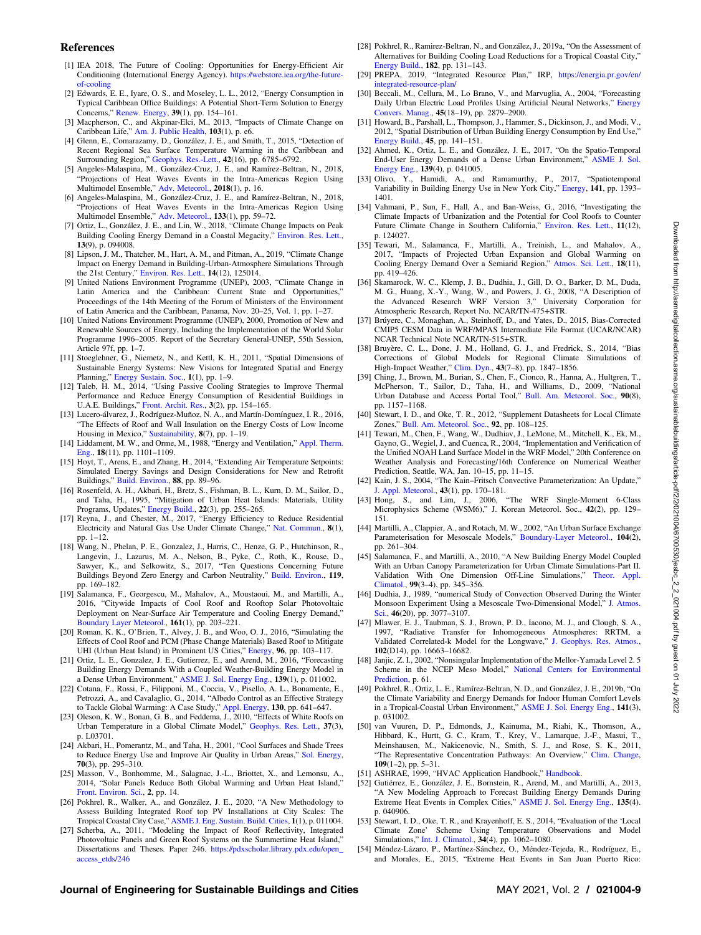### <span id="page-8-0"></span>References

- [1] IEA 2018, The Future of Cooling: Opportunities for Energy-Efficient Air Conditioning (International Energy Agency). [https://webstore.iea.org/the-future](https://webstore.iea.org/the-future-of-cooling)[of-cooling](https://webstore.iea.org/the-future-of-cooling)
- [2] Edwards, E. E., Iyare, O. S., and Moseley, L. L., 2012, "Energy Consumption in Typical Caribbean Office Buildings: A Potential Short-Term Solution to Energy Concerns," [Renew. Energy,](http://dx.doi.org/10.1016/j.renene.2011.07.037) 39(1), pp. 154–161.
- [3] Macpherson, C., and Akpinar-Elci, M., 2013, "Impacts of Climate Change on Caribbean Life," [Am. J. Public Health](http://dx.doi.org/10.2105/AJPH.2012.301095), 103(1), p. e6.
- [4] Glenn, E., Comarazamy, D., González, J. E., and Smith, T., 2015, "Detection of Recent Regional Sea Surface Temperature Warming in the Caribbean and Surrounding Region," [Geophys. Res.-Lett.](http://dx.doi.org/10.1002/2015GL065002), 42(16), pp. 6785–6792.
- [5] Angeles-Malaspina, M., González-Cruz, J. E., and Ramírez-Beltran, N., 2018, "Projections of Heat Waves Events in the Intra-Americas Region Using Multimodel Ensemble," [Adv. Meteorol.](https://dx.doi.org/10.1155/2018/7827984), 2018(1), p. 16.
- [6] Angeles-Malaspina, M., González-Cruz, J. E., and Ramírez-Beltran, N., 2018, "Projections of Heat Waves Events in the Intra-Americas Region Using Multimodel Ensemble," [Adv. Meteorol.](https://dx.doi.org/10.1155/2018/7827984), 133(1), pp. 59–72.
- [7] Ortiz, L., González, J. E., and Lin, W., 2018, "Climate Change Impacts on Peak Building Cooling Energy Demand in a Coastal Megacity," [Environ. Res. Lett.](http://dx.doi.org/10.1088/1748-9326/aad8d0), 13(9), p. 094008.
- [8] Lipson, J. M., Thatcher, M., Hart, A. M., and Pitman, A., 2019, "Climate Change Impact on Energy Demand in Building-Urban-Atmosphere Simulations Through the 21st Century," [Environ. Res. Lett.](http://dx.doi.org/10.1088/1748-9326/ab5aa5), 14(12), 125014.
- [9] United Nations Environment Programme (UNEP), 2003, "Climate Change in Latin America and the Caribbean: Current State and Opportunities," Proceedings of the 14th Meeting of the Forum of Ministers of the Environment of Latin America and the Caribbean, Panama, Nov. 20–25, Vol. 1, pp. 1–27.
- [10] United Nations Environment Programme (UNEP), 2000, Promotion of New and Renewable Sources of Energy, Including the Implementation of the World Solar Programme 1996–2005. Report of the Secretary General-UNEP, 55th Session, Article 97f, pp. 1–7.
- [11] Stoeglehner, G., Niemetz, N., and Kettl, K. H., 2011, "Spatial Dimensions of Sustainable Energy Systems: New Visions for Integrated Spatial and Energy Planning," [Energy Sustain. Soc.](http://dx.doi.org/10.1186/2192-0567-1-2), 1(1), pp. 1–9.
- [12] Taleb, H. M., 2014, "Using Passive Cooling Strategies to Improve Thermal Performance and Reduce Energy Consumption of Residential Buildings in U.A.E. Buildings," [Front. Archit. Res.](http://dx.doi.org/10.1016/j.foar.2014.01.002), 3(2), pp. 154–165.
- [13] Lucero-álvarez, J., Rodríguez-Muñoz, N. A., and Martín-Domínguez, I. R., 2016, The Effects of Roof and Wall Insulation on the Energy Costs of Low Income Housing in Mexico," [Sustainability,](http://dx.doi.org/10.3390/su8070590) 8(7), pp. 1–19.
- [14] Liddament, M. W., and Orme, M., 1988, "Energy and Ventilation," [Appl. Therm.](http://dx.doi.org/10.1016/S1359-4311(98)00040-4) [Eng.](http://dx.doi.org/10.1016/S1359-4311(98)00040-4), 18(11), pp. 1101–1109.
- [15] Hoyt, T., Arens, E., and Zhang, H., 2014, "Extending Air Temperature Setpoints: Simulated Energy Savings and Design Considerations for New and Retrofit Buildings," [Build. Environ.,](https://dx.doi.org/10.1016/j.buildenv.2014.09.010) 88, pp. 89–96.
- [16] Rosenfeld, A. H., Akbari, H., Bretz, S., Fishman, B. L., Kurn, D. M., Sailor, D., and Taha, H., 1995, "Mitigation of Urban Heat Islands: Materials, Utility Programs, Updates," [Energy Build.,](http://dx.doi.org/10.1016/0378-7788(95)00927-P) 22(3), pp. 255–265.
- [17] Reyna, J., and Chester, M., 2017, "Energy Efficiency to Reduce Residential Electricity and Natural Gas Use Under Climate Change," [Nat. Commun.](https://dx.doi.org/10.1038/ncomms14916), 8(1), pp. 1–12.
- [18] Wang, N., Phelan, P. E., Gonzalez, J., Harris, C., Henze, G. P., Hutchinson, R., Langevin, J., Lazarus, M. A., Nelson, B., Pyke, C., Roth, K., Rouse, D., Sawyer, K., and Selkowitz, S., 2017, "Ten Questions Concerning Future Buildings Beyond Zero Energy and Carbon Neutrality," [Build. Environ.](https://dx.doi.org/10.1016/j.buildenv.2017.04.006), 119, pp. 169–182.
- [19] Salamanca, F., Georgescu, M., Mahalov, A., Moustaoui, M., and Martilli, A., 2016, "Citywide Impacts of Cool Roof and Rooftop Solar Photovoltaic Deployment on Near-Surface Air Temperature and Cooling Energy Demand," [Boundary Layer Meteorol.](http://dx.doi.org/10.1007/s10546-016-0160-y), 161(1), pp. 203–221.
- [20] Roman, K. K., O'Brien, T., Alvey, J. B., and Woo, O. J., 2016, "Simulating the Effects of Cool Roof and PCM (Phase Change Materials) Based Roof to Mitigate UHI (Urban Heat Island) in Prominent US Cities," [Energy](https://dx.doi.org/10.1016/j.energy.2015.11.082), 96, pp. 103–117.
- [21] Ortiz, L. E., Gonzalez, J. E., Gutierrez, E., and Arend, M., 2016, "Forecasting Building Energy Demands With a Coupled Weather-Building Energy Model in a Dense Urban Environment," [ASME J. Sol. Energy Eng.,](http://dx.doi.org/10.1115/1.4034909) 139(1), p. 011002.
- [22] Cotana, F., Rossi, F., Filipponi, M., Coccia, V., Pisello, A. L., Bonamente, E., Petrozzi, A., and Cavalaglio, G., 2014, "Albedo Control as an Effective Strategy to Tackle Global Warming: A Case Study," [Appl. Energy](https://dx.doi.org/10.1016/j.apenergy.2014.02.065), 130, pp. 641–647.
- [23] Oleson, K. W., Bonan, G. B., and Feddema, J., 2010, "Effects of White Roofs on Urban Temperature in a Global Climate Model," [Geophys. Res. Lett.](http://dx.doi.org/10.1029/2009GL042194), 37(3), p. L03701.
- [24] Akbari, H., Pomerantz, M., and Taha, H., 2001, "Cool Surfaces and Shade Trees to Reduce Energy Use and Improve Air Quality in Urban Areas," [Sol. Energy](http://dx.doi.org/10.1016/S0038-092X(00)00089-X), 70(3), pp. 295–310.
- [25] Masson, V., Bonhomme, M., Salagnac, J.-L., Briottet, X., and Lemonsu, A., 2014, "Solar Panels Reduce Both Global Warming and Urban Heat Island," [Front. Environ. Sci.](https://dx.doi.org/10.3389/fenvs.2014.00014), 2, pp. 14.
- [26] Pokhrel, R., Walker, A., and González, J. E., 2020, "A New Methodology to Assess Building Integrated Roof top PV Installations at City Scales: The Tropical Coastal City Case," [ASME J. Eng. Sustain. Build. Cities,](https://dx.doi.org/10.1115/1.4045347) 1(1), p. 011004.
- [27] Scherba, A., 2011, "Modeling the Impact of Roof Reflectivity, Integrated Photovoltaic Panels and Green Roof Systems on the Summertime Heat Island," Dissertations and Theses. Paper 246. [https://pdxscholar.library.pdx.edu/open\\_](https://pdxscholar.library.pdx.edu/open_access_etds/246) [access\\_etds/246](https://pdxscholar.library.pdx.edu/open_access_etds/246)
- [28] Pokhrel, R., Ramirez-Beltran, N., and González, J., 2019a, "On the Assessment of Alternatives for Building Cooling Load Reductions for a Tropical Coastal City," [Energy Build.,](http://dx.doi.org/10.1016/j.enbuild.2018.10.023) 182, pp. 131–143.
- [29] PREPA, 2019, "Integrated Resource Plan," IRP, [https://energia.pr.gov/en/](https://energia.pr.gov/en/integrated-resource-plan/) [integrated-resource-plan/](https://energia.pr.gov/en/integrated-resource-plan/)
- [30] Beccali, M., Cellura, M., Lo Brano, V., and Marvuglia, A., 2004, "Forecasting Daily Urban Electric Load Profiles Using Artificial Neural Networks," [Energy](http://dx.doi.org/10.1016/j.enconman.2004.01.006) [Convers. Manag.](http://dx.doi.org/10.1016/j.enconman.2004.01.006), 45(18–19), pp. 2879–2900.
- [31] Howard, B., Parshall, L., Thompson, J., Hammer, S., Dickinson, J., and Modi, V., 2012, "Spatial Distribution of Urban Building Energy Consumption by End Use," [Energy Build.,](https://dx.doi.org/10.1016/j.enbuild.2011.10.061) 45, pp. 141–151.
- [32] Ahmed, K., Ortiz, L. E., and González, J. E., 2017, "On the Spatio-Temporal End-User Energy Demands of a Dense Urban Environment," [ASME J. Sol.](http://dx.doi.org/10.1115/1.4036545) [Energy Eng.](http://dx.doi.org/10.1115/1.4036545), 139(4), p. 041005.
- [33] Olivo, Y., Hamidi, A., and Ramamurthy, P., 2017, "Spatiotemporal Variability in Building Energy Use in New York City," [Energy](https://dx.doi.org/10.1016/j.energy.2017.11.066), 141, pp. 1393– 1401.
- [34] Vahmani, P., Sun, F., Hall, A., and Ban-Weiss, G., 2016, "Investigating the Climate Impacts of Urbanization and the Potential for Cool Roofs to Counter Future Climate Change in Southern California," [Environ. Res. Lett.,](http://dx.doi.org/10.1088/1748-9326/11/12/124027) 11(12), p. 124027.
- [35] Tewari, M., Salamanca, F., Martilli, A., Treinish, L., and Mahalov, A., 2017, "Impacts of Projected Urban Expansion and Global Warming on Cooling Energy Demand Over a Semiarid Region," [Atmos. Sci. Lett.](http://dx.doi.org/10.1002/asl.784), 18(11), pp. 419–426.
- [36] Skamarock, W. C., Klemp, J. B., Dudhia, J., Gill, D. O., Barker, D. M., Duda, M. G., Huang, X.-Y., Wang, W., and Powers, J. G., 2008, "A Description of the Advanced Research WRF Version 3," University Corporation for Atmospheric Research, Report No. NCAR/TN-475+STR.
- [37] Brúyere, C., Monaghan, A., Steinhoff, D., and Yates, D., 2015, Bias-Corrected CMIP5 CESM Data in WRF/MPAS Intermediate File Format (UCAR/NCAR) NCAR Technical Note NCAR/TN-515+STR.
- [38] Bruyère, C. L., Done, J. M., Holland, G. J., and Fredrick, S., 2014, "Bias Corrections of Global Models for Regional Climate Simulations of High-Impact Weather," [Clim. Dyn.,](http://dx.doi.org/10.1007/s00382-013-2011-6) 43(7–8), pp. 1847–1856.
- [39] Ching, J., Brown, M., Burian, S., Chen, F., Cionco, R., Hanna, A., Hultgren, T., McPherson, T., Sailor, D., Taha, H., and Williams, D., 2009, "National Urban Database and Access Portal Tool," [Bull. Am. Meteorol. Soc.,](http://dx.doi.org/10.1175/2009BAMS2675.1) 90(8), pp. 1157–1168.
- [40] Stewart, I. D., and Oke, T. R., 2012, "Supplement Datasheets for Local Climate Zones," [Bull. Am. Meteorol. Soc.,](https://dx.doi.org/10.1175/BAMS-D-11-00019.2) 92, pp. 108–125.
- [41] Tewari, M., Chen, F., Wang, W., Dudhiav, J., LeMone, M., Mitchell, K., Ek, M., Gayno, G., Wegiel, J., and Cuenca, R., 2004, "Implementation and Verification of the Unified NOAH Land Surface Model in the WRF Model," 20th Conference on Weather Analysis and Forecasting/16th Conference on Numerical Weather Prediction, Seattle, WA, Jan. 10–15, pp. 11–15.
- [42] Kain, J. S., 2004, "The Kain–Fritsch Convective Parameterization: An Update," [J. Appl. Meteorol.,](http://dx.doi.org/10.1175/1520-0450(2004)043%3C0170:TKCPAU%3E2.0.CO;2) 43(1), pp. 170–181.
- [43] Hong, S., and Lim, J., 2006, "The WRF Single-Moment 6-Class Microphysics Scheme (WSM6)," J. Korean Meteorol. Soc., 42(2), pp. 129– 151.
- [44] Martilli, A., Clappier, A., and Rotach, M. W., 2002, "An Urban Surface Exchange Parameterisation for Mesoscale Models," [Boundary-Layer Meteorol.](http://dx.doi.org/10.1023/A:1016099921195), 104(2), pp. 261–304.
- [45] Salamanca, F., and Martilli, A., 2010, "A New Building Energy Model Coupled With an Urban Canopy Parameterization for Urban Climate Simulations-Part II. Validation With One Dimension Off-Line Simulations," [Theor. Appl.](http://dx.doi.org/10.1007/s00704-009-0143-8) [Climatol.](http://dx.doi.org/10.1007/s00704-009-0143-8), 99(3–4), pp. 345–356.
- [46] Dudhia, J., 1989, "numerical Study of Convection Observed During the Winter Monsoon Experiment Using a Mesoscale Two-Dimensional Model," [J. Atmos.](http://dx.doi.org/10.1175/1520-0469(1989)046%3C3077:NSOCOD%3E2.0.CO;2) [Sci.,](http://dx.doi.org/10.1175/1520-0469(1989)046%3C3077:NSOCOD%3E2.0.CO;2) 46(20), pp. 3077–3107.
- [47] Mlawer, E. J., Taubman, S. J., Brown, P. D., Iacono, M. J., and Clough, S. A., 1997, "Radiative Transfer for Inhomogeneous Atmospheres: RRTM, a Validated Correlated-k Model for the Longwave," [J. Geophys. Res. Atmos.](http://dx.doi.org/10.1029/97JD00237), 102(D14), pp. 16663–16682.
- [48] Janjic, Z. I., 2002, "Nonsingular Implementation of the Mellor-Yamada Level 2. 5 Scheme in the NCEP Meso Model," [National Centers for Environmental](https://citeseerx.ist.psu.edu/viewdoc/download?doi=10.1.1.459.5434&rep=rep1&type=pdf) [Prediction,](https://citeseerx.ist.psu.edu/viewdoc/download?doi=10.1.1.459.5434&rep=rep1&type=pdf) p. 61.
- [49] Pokhrel, R., Ortiz, L. E., Ramírez-Beltran, N. D., and González, J. E., 2019b, "On the Climate Variability and Energy Demands for Indoor Human Comfort Levels in a Tropical-Coastal Urban Environment," [ASME J. Sol. Energy Eng.,](http://dx.doi.org/10.1115/1.4041401) 141(3), p. 031002.
- [50] van Vuuren, D. P., Edmonds, J., Kainuma, M., Riahi, K., Thomson, A., Hibbard, K., Hurtt, G. C., Kram, T., Krey, V., Lamarque, J.-F., Masui, T., Meinshausen, M., Nakicenovic, N., Smith, S. J., and Rose, S. K., 2011, "The Representative Concentration Pathways: An Overview," [Clim. Change](http://dx.doi.org/10.1007/s10584-011-0148-z),  $109(1-2)$ , pp. 5-31.
- [51] ASHRAE, 1999, "HVAC Application Handbook," [Handbook.](https://www.academia.edu/11207373/Ashrae_1999_HVAC_Applications_Handbook)
- [52] Gutiérrez, E., González, J. E., Bornstein, R., Arend, M., and Martilli, A., 2013, "A New Modeling Approach to Forecast Building Energy Demands During Extreme Heat Events in Complex Cities," [ASME J. Sol. Energy Eng.](http://dx.doi.org/10.1115/1.4025510), 135(4). p. 040906.
- [53] Stewart, I. D., Oke, T. R., and Krayenhoff, E. S., 2014, "Evaluation of the 'Local Climate Zone' Scheme Using Temperature Observations and Model Simulations," [Int. J. Climatol.](http://dx.doi.org/10.1002/joc.3746), 34(4), pp. 1062–1080.
- [54] Méndez-Lázaro, P., Martínez-Sánchez, O., Méndez-Tejeda, R., Rodríguez, E., and Morales, E., 2015, "Extreme Heat Events in San Juan Puerto Rico: